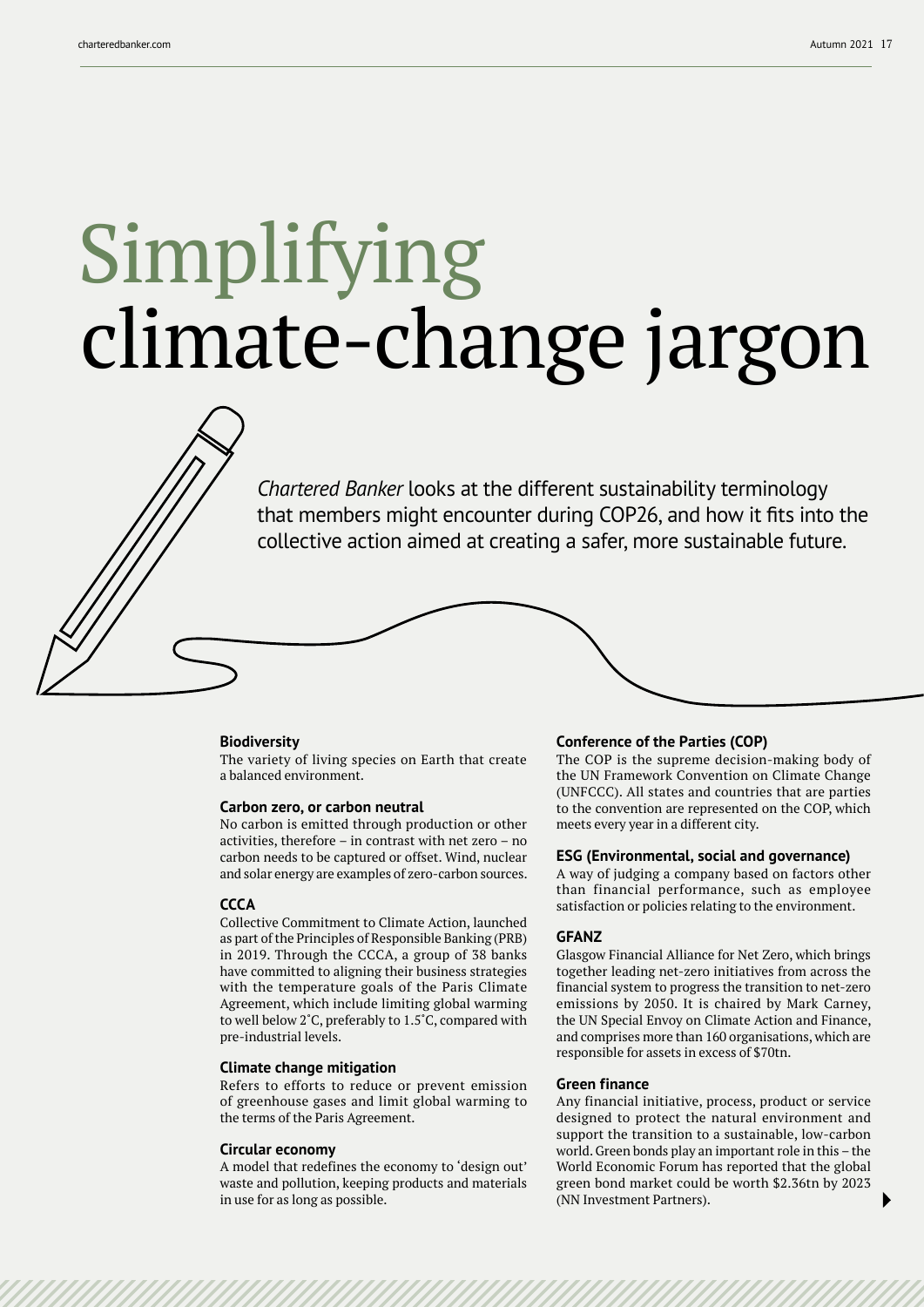# Simplifying climate-change jargon

*Chartered Banker* looks at the different sustainability terminology that members might encounter during COP26, and how it fits into the collective action aimed at creating a safer, more sustainable future.

## **Biodiversity**

The variety of living species on Earth that create a balanced environment.

## **Carbon zero, or carbon neutral**

No carbon is emitted through production or other activities, therefore – in contrast with net zero – no carbon needs to be captured or offset. Wind, nuclear and solar energy are examples of zero-carbon sources.

## **CCCA**

Collective Commitment to Climate Action, launched as part of the Principles of Responsible Banking (PRB) in 2019. Through the CCCA, a group of 38 banks have committed to aligning their business strategies with the temperature goals of the Paris Climate Agreement, which include limiting global warming to well below 2˚C, preferably to 1.5˚C, compared with pre-industrial levels.

## **Climate change mitigation**

Refers to efforts to reduce or prevent emission of greenhouse gases and limit global warming to the terms of the Paris Agreement.

#### **Circular economy**

A model that redefines the economy to 'design out' waste and pollution, keeping products and materials in use for as long as possible.

## **Conference of the Parties (COP)**

The COP is the supreme decision-making body of the UN Framework Convention on Climate Change (UNFCCC). All states and countries that are parties to the convention are represented on the COP, which meets every year in a different city.

## **ESG (Environmental, social and governance)**

A way of judging a company based on factors other than financial performance, such as employee satisfaction or policies relating to the environment.

## **GFANZ**

Glasgow Financial Alliance for Net Zero, which brings together leading net-zero initiatives from across the financial system to progress the transition to net-zero emissions by 2050. It is chaired by Mark Carney, the UN Special Envoy on Climate Action and Finance, and comprises more than 160 organisations, which are responsible for assets in excess of \$70tn.

## **Green finance**

Any financial initiative, process, product or service designed to protect the natural environment and support the transition to a sustainable, low-carbon world. Green bonds play an important role in this – the World Economic Forum has reported that the global green bond market could be worth \$2.36tn by 2023 (NN Investment Partners).